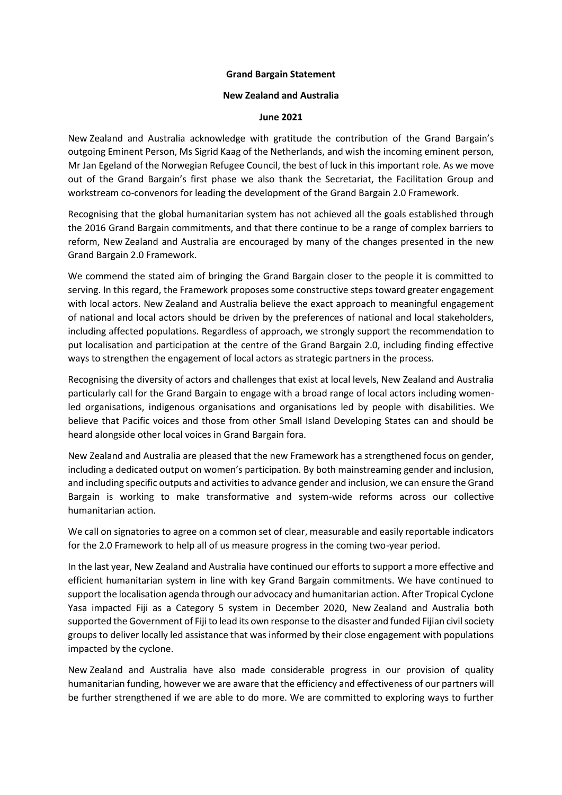## **Grand Bargain Statement**

## **New Zealand and Australia**

## **June 2021**

New Zealand and Australia acknowledge with gratitude the contribution of the Grand Bargain's outgoing Eminent Person, Ms Sigrid Kaag of the Netherlands, and wish the incoming eminent person, Mr Jan Egeland of the Norwegian Refugee Council, the best of luck in this important role. As we move out of the Grand Bargain's first phase we also thank the Secretariat, the Facilitation Group and workstream co-convenors for leading the development of the Grand Bargain 2.0 Framework.

Recognising that the global humanitarian system has not achieved all the goals established through the 2016 Grand Bargain commitments, and that there continue to be a range of complex barriers to reform, New Zealand and Australia are encouraged by many of the changes presented in the new Grand Bargain 2.0 Framework.

We commend the stated aim of bringing the Grand Bargain closer to the people it is committed to serving. In this regard, the Framework proposes some constructive steps toward greater engagement with local actors. New Zealand and Australia believe the exact approach to meaningful engagement of national and local actors should be driven by the preferences of national and local stakeholders, including affected populations. Regardless of approach, we strongly support the recommendation to put localisation and participation at the centre of the Grand Bargain 2.0, including finding effective ways to strengthen the engagement of local actors as strategic partners in the process.

Recognising the diversity of actors and challenges that exist at local levels, New Zealand and Australia particularly call for the Grand Bargain to engage with a broad range of local actors including womenled organisations, indigenous organisations and organisations led by people with disabilities. We believe that Pacific voices and those from other Small Island Developing States can and should be heard alongside other local voices in Grand Bargain fora.

New Zealand and Australia are pleased that the new Framework has a strengthened focus on gender, including a dedicated output on women's participation. By both mainstreaming gender and inclusion, and including specific outputs and activities to advance gender and inclusion, we can ensure the Grand Bargain is working to make transformative and system-wide reforms across our collective humanitarian action.

We call on signatories to agree on a common set of clear, measurable and easily reportable indicators for the 2.0 Framework to help all of us measure progress in the coming two-year period.

In the last year, New Zealand and Australia have continued our efforts to support a more effective and efficient humanitarian system in line with key Grand Bargain commitments. We have continued to support the localisation agenda through our advocacy and humanitarian action. After Tropical Cyclone Yasa impacted Fiji as a Category 5 system in December 2020, New Zealand and Australia both supported the Government of Fiji to lead its own response to the disaster and funded Fijian civil society groups to deliver locally led assistance that was informed by their close engagement with populations impacted by the cyclone.

New Zealand and Australia have also made considerable progress in our provision of quality humanitarian funding, however we are aware that the efficiency and effectiveness of our partners will be further strengthened if we are able to do more. We are committed to exploring ways to further